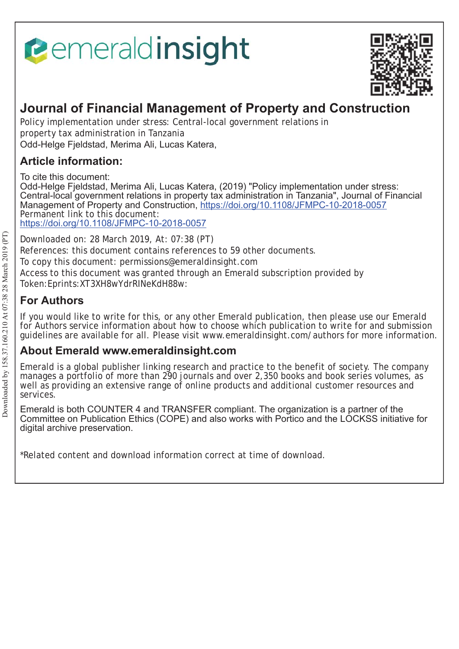# **Pemeraldinsight**



# **Journal of Financial Management of Property and Construction**

Policy implementation under stress: Central-local government relations in property tax administration in Tanzania Odd-Helge Fjeldstad, Merima Ali, Lucas Katera,

# **Article information:**

To cite this document:

Odd-Helge Fjeldstad, Merima Ali, Lucas Katera, (2019) "Policy implementation under stress: Central-local government relations in property tax administration in Tanzania", Journal of Financial Management of Property and Construction, https://doi.org/10.1108/JFMPC-10-2018-0057 Permanent link to this document: https://doi.org/10.1108/JFMPC-10-2018-0057

Downloaded on: 28 March 2019, At: 07:38 (PT) References: this document contains references to 59 other documents. To copy this document: permissions@emeraldinsight.com Access to this document was granted through an Emerald subscription provided by Token:Eprints:XT3XH8wYdrRINeKdH88w:

# **For Authors**

If you would like to write for this, or any other Emerald publication, then please use our Emerald for Authors service information about how to choose which publication to write for and submission guidelines are available for all. Please visit www.emeraldinsight.com/authors for more information.

# **About Emerald www.emeraldinsight.com**

Emerald is a global publisher linking research and practice to the benefit of society. The company manages a portfolio of more than 290 journals and over 2,350 books and book series volumes, as well as providing an extensive range of online products and additional customer resources and services.

Emerald is both COUNTER 4 and TRANSFER compliant. The organization is a partner of the Committee on Publication Ethics (COPE) and also works with Portico and the LOCKSS initiative for digital archive preservation.

\*Related content and download information correct at time of download.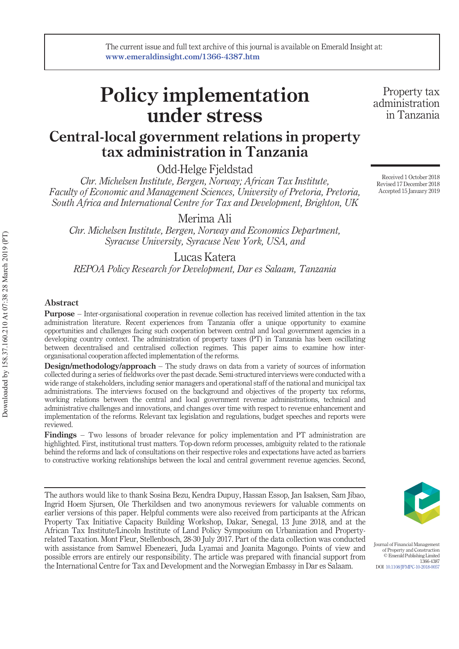# Policy implementation under stress

# Central-local government relations in property tax administration in Tanzania

Odd-Helge Fjeldstad

Chr. Michelsen Institute, Bergen, Norway; African Tax Institute, Faculty of Economic and Management Sciences, University of Pretoria, Pretoria, South Africa and International Centre for Tax and Development, Brighton, UK

Merima Ali

Chr. Michelsen Institute, Bergen, Norway and Economics Department, Syracuse University, Syracuse New York, USA, and

Lucas Katera

REPOA Policy Research for Development, Dar es Salaam, Tanzania

#### Abstract

Purpose – Inter-organisational cooperation in revenue collection has received limited attention in the tax administration literature. Recent experiences from Tanzania offer a unique opportunity to examine opportunities and challenges facing such cooperation between central and local government agencies in a developing country context. The administration of property taxes (PT) in Tanzania has been oscillating between decentralised and centralised collection regimes. This paper aims to examine how interorganisational cooperation affected implementation of the reforms.

Design/methodology/approach - The study draws on data from a variety of sources of information collected during a series of fieldworks over the past decade. Semi-structured interviews were conducted with a wide range of stakeholders, including senior managers and operational staff of the national and municipal tax administrations. The interviews focused on the background and objectives of the property tax reforms, working relations between the central and local government revenue administrations, technical and administrative challenges and innovations, and changes over time with respect to revenue enhancement and implementation of the reforms. Relevant tax legislation and regulations, budget speeches and reports were reviewed.

Findings – Two lessons of broader relevance for policy implementation and PT administration are highlighted. First, institutional trust matters. Top-down reform processes, ambiguity related to the rationale behind the reforms and lack of consultations on their respective roles and expectations have acted as barriers to constructive working relationships between the local and central government revenue agencies. Second,

The authors would like to thank Sosina Bezu, Kendra Dupuy, Hassan Essop, Jan Isaksen, Sam Jibao, Ingrid Hoem Sjursen, Ole Therkildsen and two anonymous reviewers for valuable comments on earlier versions of this paper. Helpful comments were also received from participants at the African Property Tax Initiative Capacity Building Workshop, Dakar, Senegal, 13 June 2018, and at the African Tax Institute/Lincoln Institute of Land Policy Symposium on Urbanization and Propertyrelated Taxation. Mont Fleur, Stellenbosch, 28-30 July 2017. Part of the data collection was conducted with assistance from Samwel Ebenezeri, Juda Lyamai and Joanita Magongo. Points of view and possible errors are entirely our responsibility. The article was prepared with financial support from the International Centre for Tax and Development and the Norwegian Embassy in Dar es Salaam.



Journal of Financial Management of Property and Construction © Emerald Publishing Limited 1366-4387 DOI 10.1108/JFMPC-10-2018-0057

Property tax administration in Tanzania

Received 1 October 2018 Revised 17 December 2018 Accepted 15 January 2019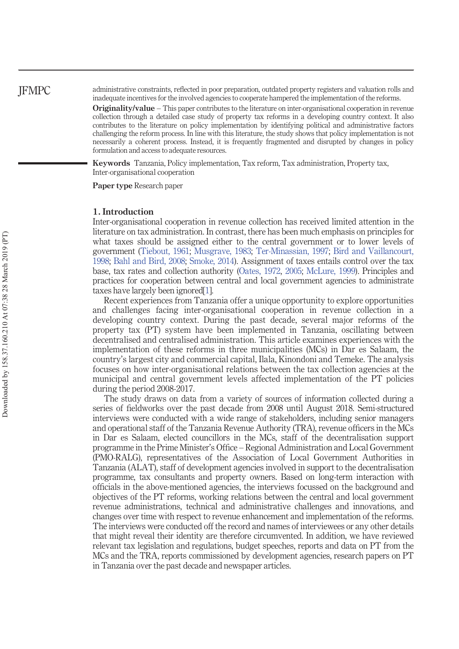administrative constraints, reflected in poor preparation, outdated property registers and valuation rolls and inadequate incentives for the involved agencies to cooperate hampered the implementation of the reforms.

Originality/value – This paper contributes to the literature on inter-organisational cooperation in revenue collection through a detailed case study of property tax reforms in a developing country context. It also contributes to the literature on policy implementation by identifying political and administrative factors challenging the reform process. In line with this literature, the study shows that policy implementation is not necessarily a coherent process. Instead, it is frequently fragmented and disrupted by changes in policy formulation and access to adequate resources.

Keywords Tanzania, Policy implementation, Tax reform, Tax administration, Property tax, Inter-organisational cooperation

Paper type Research paper

#### 1. Introduction

Inter-organisational cooperation in revenue collection has received limited attention in the literature on tax administration. In contrast, there has been much emphasis on principles for what taxes should be assigned either to the central government or to lower levels of government (Tiebout, 1961; Musgrave, 1983; Ter-Minassian, 1997; Bird and Vaillancourt, 1998; Bahl and Bird, 2008; Smoke, 2014). Assignment of taxes entails control over the tax base, tax rates and collection authority (Oates, 1972, 2005; McLure, 1999). Principles and practices for cooperation between central and local government agencies to administrate taxes have largely been ignored[1].

Recent experiences from Tanzania offer a unique opportunity to explore opportunities and challenges facing inter-organisational cooperation in revenue collection in a developing country context. During the past decade, several major reforms of the property tax (PT) system have been implemented in Tanzania, oscillating between decentralised and centralised administration. This article examines experiences with the implementation of these reforms in three municipalities (MCs) in Dar es Salaam, the country's largest city and commercial capital, Ilala, Kinondoni and Temeke. The analysis focuses on how inter-organisational relations between the tax collection agencies at the municipal and central government levels affected implementation of the PT policies during the period 2008-2017.

The study draws on data from a variety of sources of information collected during a series of fieldworks over the past decade from 2008 until August 2018. Semi-structured interviews were conducted with a wide range of stakeholders, including senior managers and operational staff of the Tanzania Revenue Authority (TRA), revenue officers in the MCs in Dar es Salaam, elected councillors in the MCs, staff of the decentralisation support programme in the Prime Minister's Office – Regional Administration and Local Government (PMO-RALG), representatives of the Association of Local Government Authorities in Tanzania (ALAT), staff of development agencies involved in support to the decentralisation programme, tax consultants and property owners. Based on long-term interaction with officials in the above-mentioned agencies, the interviews focussed on the background and objectives of the PT reforms, working relations between the central and local government revenue administrations, technical and administrative challenges and innovations, and changes over time with respect to revenue enhancement and implementation of the reforms. The interviews were conducted off the record and names of interviewees or any other details that might reveal their identity are therefore circumvented. In addition, we have reviewed relevant tax legislation and regulations, budget speeches, reports and data on PT from the MCs and the TRA, reports commissioned by development agencies, research papers on PT in Tanzania over the past decade and newspaper articles.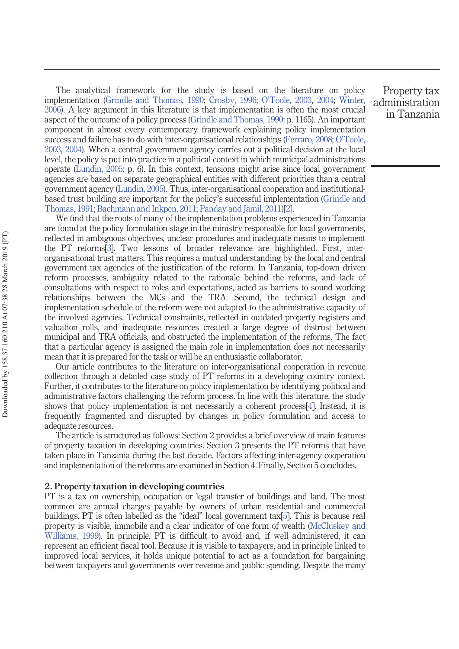The analytical framework for the study is based on the literature on policy implementation (Grindle and Thomas, 1990; Crosby, 1996; O'Toole, 2003, 2004; Winter, 2006). A key argument in this literature is that implementation is often the most crucial aspect of the outcome of a policy process (Grindle and Thomas, 1990: p. 1165). An important component in almost every contemporary framework explaining policy implementation success and failure has to do with inter-organisational relationships (Ferraro, 2008; O'Toole, 2003, 2004). When a central government agency carries out a political decision at the local level, the policy is put into practice in a political context in which municipal administrations operate (Lundin, 2005: p. 6). In this context, tensions might arise since local government agencies are based on separate geographical entities with different priorities than a central government agency (Lundin, 2005). Thus, inter-organisational cooperation and institutionalbased trust building are important for the policy's successful implementation (Grindle and Thomas, 1991; Bachmann and Inkpen, 2011; Panday and Jamil, 2011)[2].

We find that the roots of many of the implementation problems experienced in Tanzania are found at the policy formulation stage in the ministry responsible for local governments, reflected in ambiguous objectives, unclear procedures and inadequate means to implement the PT reforms[3]. Two lessons of broader relevance are highlighted. First, interorganisational trust matters. This requires a mutual understanding by the local and central government tax agencies of the justification of the reform. In Tanzania, top-down driven reform processes, ambiguity related to the rationale behind the reforms, and lack of consultations with respect to roles and expectations, acted as barriers to sound working relationships between the MCs and the TRA. Second, the technical design and implementation schedule of the reform were not adapted to the administrative capacity of the involved agencies. Technical constraints, reflected in outdated property registers and valuation rolls, and inadequate resources created a large degree of distrust between municipal and TRA officials, and obstructed the implementation of the reforms. The fact that a particular agency is assigned the main role in implementation does not necessarily mean that it is prepared for the task or will be an enthusiastic collaborator.

Our article contributes to the literature on inter-organisational cooperation in revenue collection through a detailed case study of PT reforms in a developing country context. Further, it contributes to the literature on policy implementation by identifying political and administrative factors challenging the reform process. In line with this literature, the study shows that policy implementation is not necessarily a coherent process[4]. Instead, it is frequently fragmented and disrupted by changes in policy formulation and access to adequate resources.

The article is structured as follows: Section 2 provides a brief overview of main features of property taxation in developing countries. Section 3 presents the PT reforms that have taken place in Tanzania during the last decade. Factors affecting inter-agency cooperation and implementation of the reforms are examined in Section 4. Finally, Section 5 concludes.

#### 2. Property taxation in developing countries

PT is a tax on ownership, occupation or legal transfer of buildings and land. The most common are annual charges payable by owners of urban residential and commercial buildings. PT is often labelled as the "ideal" local government tax[5]. This is because real property is visible, immobile and a clear indicator of one form of wealth (McCluskey and Williams, 1999). In principle, PT is difficult to avoid and, if well administered, it can represent an efficient fiscal tool. Because it is visible to taxpayers, and in principle linked to improved local services, it holds unique potential to act as a foundation for bargaining between taxpayers and governments over revenue and public spending. Despite the many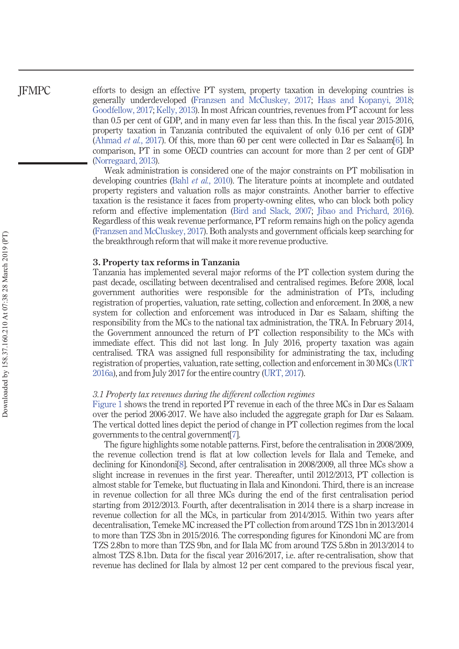efforts to design an effective PT system, property taxation in developing countries is generally underdeveloped (Franzsen and McCluskey, 2017; Haas and Kopanyi, 2018; Goodfellow, 2017; Kelly, 2013). In most African countries, revenues from PT account for less than 0.5 per cent of GDP, and in many even far less than this. In the fiscal year 2015-2016, property taxation in Tanzania contributed the equivalent of only 0.16 per cent of GDP (Ahmad et al., 2017). Of this, more than 60 per cent were collected in Dar es Salaam[6]. In comparison, PT in some OECD countries can account for more than 2 per cent of GDP (Norregaard, 2013).

Weak administration is considered one of the major constraints on PT mobilisation in developing countries (Bahl *et al.*, 2010). The literature points at incomplete and outdated property registers and valuation rolls as major constraints. Another barrier to effective taxation is the resistance it faces from property-owning elites, who can block both policy reform and effective implementation (Bird and Slack, 2007; Jibao and Prichard, 2016). Regardless of this weak revenue performance, PT reform remains high on the policy agenda (Franzsen and McCluskey, 2017). Both analysts and government officials keep searching for the breakthrough reform that will make it more revenue productive.

#### 3. Property tax reforms in Tanzania

Tanzania has implemented several major reforms of the PT collection system during the past decade, oscillating between decentralised and centralised regimes. Before 2008, local government authorities were responsible for the administration of PTs, including registration of properties, valuation, rate setting, collection and enforcement. In 2008, a new system for collection and enforcement was introduced in Dar es Salaam, shifting the responsibility from the MCs to the national tax administration, the TRA. In February 2014, the Government announced the return of PT collection responsibility to the MCs with immediate effect. This did not last long. In July 2016, property taxation was again centralised. TRA was assigned full responsibility for administrating the tax, including registration of properties, valuation, rate setting, collection and enforcement in 30 MCs (URT 2016a), and from July 2017 for the entire country (URT, 2017).

#### 3.1 Property tax revenues during the different collection regimes

Figure 1 shows the trend in reported PT revenue in each of the three MCs in Dar es Salaam over the period 2006-2017. We have also included the aggregate graph for Dar es Salaam. The vertical dotted lines depict the period of change in PT collection regimes from the local governments to the central government[7].

The figure highlights some notable patterns. First, before the centralisation in 2008/2009, the revenue collection trend is flat at low collection levels for Ilala and Temeke, and declining for Kinondoni[8]. Second, after centralisation in 2008/2009, all three MCs show a slight increase in revenues in the first year. Thereafter, until 2012/2013, PT collection is almost stable for Temeke, but fluctuating in Ilala and Kinondoni. Third, there is an increase in revenue collection for all three MCs during the end of the first centralisation period starting from 2012/2013. Fourth, after decentralisation in 2014 there is a sharp increase in revenue collection for all the MCs, in particular from 2014/2015. Within two years after decentralisation, Temeke MC increased the PT collection from around TZS 1bn in 2013/2014 to more than TZS 3bn in 2015/2016. The corresponding figures for Kinondoni MC are from TZS 2.8bn to more than TZS 9bn, and for Ilala MC from around TZS 5.8bn in 2013/2014 to almost TZS 8.1bn. Data for the fiscal year 2016/2017, i.e. after re-centralisation, show that revenue has declined for Ilala by almost 12 per cent compared to the previous fiscal year,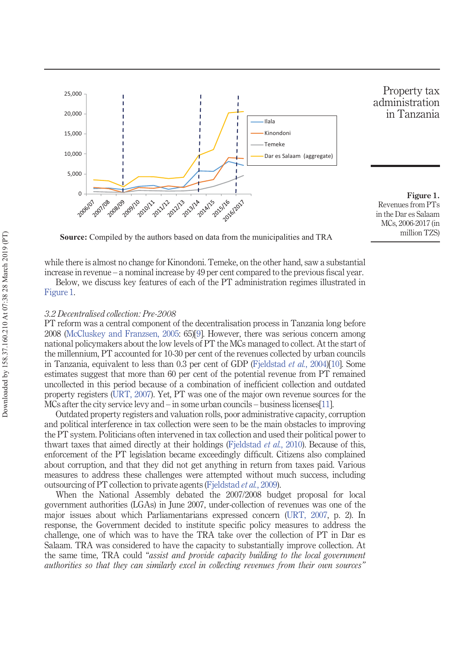

Property tax administration in Tanzania

Figure 1. Revenues from PTs in the Dar es Salaam MCs, 2006-2017 (in million TZS)

**Source:** Compiled by the authors based on data from the municipalities and TRA

while there is almost no change for Kinondoni. Temeke, on the other hand, saw a substantial

increase in revenue – a nominal increase by 49 per cent compared to the previous fiscal year. Below, we discuss key features of each of the PT administration regimes illustrated in

Figure 1.

#### 3.2 Decentralised collection: Pre-2008

PT reform was a central component of the decentralisation process in Tanzania long before 2008 (McCluskey and Franzsen, 2005: 65)[9]. However, there was serious concern among national policymakers about the low levels of PT the MCs managed to collect. At the start of the millennium, PT accounted for 10-30 per cent of the revenues collected by urban councils in Tanzania, equivalent to less than 0.3 per cent of GDP (Fjeldstad *et al.*, 2004)[10]. Some estimates suggest that more than 60 per cent of the potential revenue from PT remained uncollected in this period because of a combination of inefficient collection and outdated property registers (URT, 2007). Yet, PT was one of the major own revenue sources for the MCs after the city service levy and – in some urban councils – business licenses[11].

Outdated property registers and valuation rolls, poor administrative capacity, corruption and political interference in tax collection were seen to be the main obstacles to improving the PT system. Politicians often intervened in tax collection and used their political power to thwart taxes that aimed directly at their holdings (Fjeldstad et al., 2010). Because of this, enforcement of the PT legislation became exceedingly difficult. Citizens also complained about corruption, and that they did not get anything in return from taxes paid. Various measures to address these challenges were attempted without much success, including outsourcing of PT collection to private agents (Fjeldstad et al., 2009).

When the National Assembly debated the 2007/2008 budget proposal for local government authorities (LGAs) in June 2007, under-collection of revenues was one of the major issues about which Parliamentarians expressed concern (URT, 2007, p. 2). In response, the Government decided to institute specific policy measures to address the challenge, one of which was to have the TRA take over the collection of PT in Dar es Salaam. TRA was considered to have the capacity to substantially improve collection. At the same time, TRA could "assist and provide capacity building to the local government authorities so that they can similarly excel in collecting revenues from their own sources"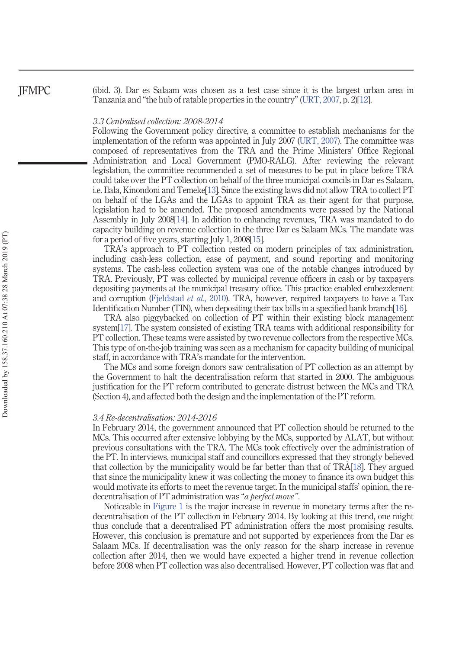(ibid. 3). Dar es Salaam was chosen as a test case since it is the largest urban area in Tanzania and "the hub of ratable properties in the country" (URT, 2007, p. 2)[12].

#### 3.3 Centralised collection: 2008-2014

Following the Government policy directive, a committee to establish mechanisms for the implementation of the reform was appointed in July 2007 (URT, 2007). The committee was composed of representatives from the TRA and the Prime Ministers' Office Regional Administration and Local Government (PMO-RALG). After reviewing the relevant legislation, the committee recommended a set of measures to be put in place before TRA could take over the PT collection on behalf of the three municipal councils in Dar es Salaam, i.e. Ilala, Kinondoni and Temeke[13]. Since the existing laws did not allow TRA to collect PT on behalf of the LGAs and the LGAs to appoint TRA as their agent for that purpose, legislation had to be amended. The proposed amendments were passed by the National Assembly in July 2008[14]. In addition to enhancing revenues, TRA was mandated to do capacity building on revenue collection in the three Dar es Salaam MCs. The mandate was for a period of five years, starting July 1, 2008[15].

TRA's approach to PT collection rested on modern principles of tax administration, including cash-less collection, ease of payment, and sound reporting and monitoring systems. The cash-less collection system was one of the notable changes introduced by TRA. Previously, PT was collected by municipal revenue officers in cash or by taxpayers depositing payments at the municipal treasury office. This practice enabled embezzlement and corruption (Fjeldstad et al., 2010). TRA, however, required taxpayers to have a Tax Identification Number (TIN), when depositing their tax bills in a specified bank branch[16].

TRA also piggybacked on collection of PT within their existing block management system[17]. The system consisted of existing TRA teams with additional responsibility for PT collection. These teams were assisted by two revenue collectors from the respective MCs. This type of on-the-job training was seen as a mechanism for capacity building of municipal staff, in accordance with TRA's mandate for the intervention.

The MCs and some foreign donors saw centralisation of PT collection as an attempt by the Government to halt the decentralisation reform that started in 2000. The ambiguous justification for the PT reform contributed to generate distrust between the MCs and TRA (Section 4), and affected both the design and the implementation of the PT reform.

#### 3.4 Re-decentralisation: 2014-2016

In February 2014, the government announced that PT collection should be returned to the MCs. This occurred after extensive lobbying by the MCs, supported by ALAT, but without previous consultations with the TRA. The MCs took effectively over the administration of the PT. In interviews, municipal staff and councillors expressed that they strongly believed that collection by the municipality would be far better than that of TRA[18]. They argued that since the municipality knew it was collecting the money to finance its own budget this would motivate its efforts to meet the revenue target. In the municipal staffs' opinion, the redecentralisation of PT administration was "*a perfect move*".

Noticeable in Figure 1 is the major increase in revenue in monetary terms after the redecentralisation of the PT collection in February 2014. By looking at this trend, one might thus conclude that a decentralised PT administration offers the most promising results. However, this conclusion is premature and not supported by experiences from the Dar es Salaam MCs. If decentralisation was the only reason for the sharp increase in revenue collection after 2014, then we would have expected a higher trend in revenue collection before 2008 when PT collection was also decentralised. However, PT collection was flat and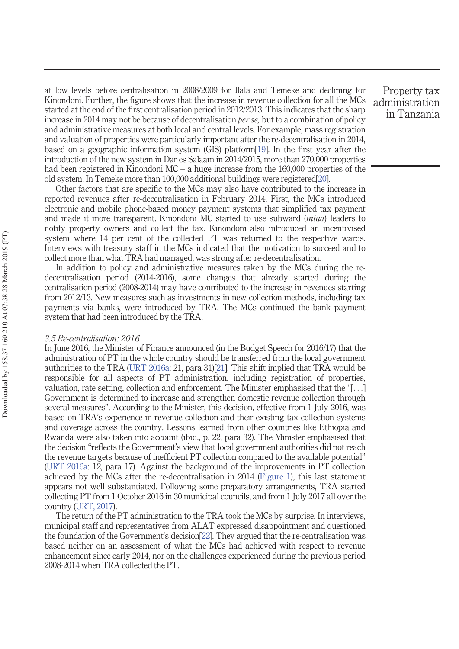at low levels before centralisation in 2008/2009 for Ilala and Temeke and declining for Kinondoni. Further, the figure shows that the increase in revenue collection for all the MCs started at the end of the first centralisation period in 2012/2013. This indicates that the sharp increase in 2014 may not be because of decentralisation *per se*, but to a combination of policy and administrative measures at both local and central levels. For example, mass registration and valuation of properties were particularly important after the re-decentralisation in 2014, based on a geographic information system (GIS) platform[19]. In the first year after the introduction of the new system in Dar es Salaam in 2014/2015, more than 270,000 properties had been registered in Kinondoni MC – a huge increase from the 160,000 properties of the old system. In Temeke more than 100,000 additional buildings were registered[20].

Other factors that are specific to the MCs may also have contributed to the increase in reported revenues after re-decentralisation in February 2014. First, the MCs introduced electronic and mobile phone-based money payment systems that simplified tax payment and made it more transparent. Kinondoni MC started to use subward (mtaa) leaders to notify property owners and collect the tax. Kinondoni also introduced an incentivised system where 14 per cent of the collected PT was returned to the respective wards. Interviews with treasury staff in the MCs indicated that the motivation to succeed and to collect more than what TRA had managed, was strong after re-decentralisation.

In addition to policy and administrative measures taken by the MCs during the redecentralisation period (2014-2016), some changes that already started during the centralisation period (2008-2014) may have contributed to the increase in revenues starting from 2012/13. New measures such as investments in new collection methods, including tax payments via banks, were introduced by TRA. The MCs continued the bank payment system that had been introduced by the TRA.

#### 3.5 Re-centralisation: 2016

In June 2016, the Minister of Finance announced (in the Budget Speech for 2016/17) that the administration of PT in the whole country should be transferred from the local government authorities to the TRA (URT 2016a: 21, para 31)[21]. This shift implied that TRA would be responsible for all aspects of PT administration, including registration of properties, valuation, rate setting, collection and enforcement. The Minister emphasised that the "[...] Government is determined to increase and strengthen domestic revenue collection through several measures". According to the Minister, this decision, effective from 1 July 2016, was based on TRA's experience in revenue collection and their existing tax collection systems and coverage across the country. Lessons learned from other countries like Ethiopia and Rwanda were also taken into account (ibid., p. 22, para 32). The Minister emphasised that the decision "reflects the Government's view that local government authorities did not reach the revenue targets because of inefficient PT collection compared to the available potential" (URT 2016a: 12, para 17). Against the background of the improvements in PT collection achieved by the MCs after the re-decentralisation in 2014 (Figure 1), this last statement appears not well substantiated. Following some preparatory arrangements, TRA started collecting PT from 1 October 2016 in 30 municipal councils, and from 1 July 2017 all over the country (URT, 2017).

The return of the PT administration to the TRA took the MCs by surprise. In interviews, municipal staff and representatives from ALAT expressed disappointment and questioned the foundation of the Government's decision[22]. They argued that the re-centralisation was based neither on an assessment of what the MCs had achieved with respect to revenue enhancement since early 2014, nor on the challenges experienced during the previous period 2008-2014 when TRA collected the PT.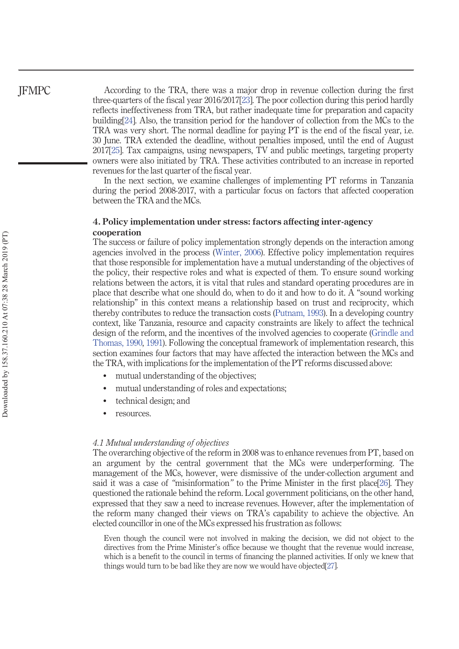According to the TRA, there was a major drop in revenue collection during the first three-quarters of the fiscal year 2016/2017[23]. The poor collection during this period hardly reflects ineffectiveness from TRA, but rather inadequate time for preparation and capacity building[24]. Also, the transition period for the handover of collection from the MCs to the TRA was very short. The normal deadline for paying PT is the end of the fiscal year, i.e. 30 June. TRA extended the deadline, without penalties imposed, until the end of August 2017[25]. Tax campaigns, using newspapers, TV and public meetings, targeting property owners were also initiated by TRA. These activities contributed to an increase in reported revenues for the last quarter of the fiscal year.

In the next section, we examine challenges of implementing PT reforms in Tanzania during the period 2008-2017, with a particular focus on factors that affected cooperation between the TRA and the MCs.

#### 4. Policy implementation under stress: factors affecting inter-agency cooperation

The success or failure of policy implementation strongly depends on the interaction among agencies involved in the process (Winter, 2006). Effective policy implementation requires that those responsible for implementation have a mutual understanding of the objectives of the policy, their respective roles and what is expected of them. To ensure sound working relations between the actors, it is vital that rules and standard operating procedures are in place that describe what one should do, when to do it and how to do it. A "sound working relationship" in this context means a relationship based on trust and reciprocity, which thereby contributes to reduce the transaction costs (Putnam, 1993). In a developing country context, like Tanzania, resource and capacity constraints are likely to affect the technical design of the reform, and the incentives of the involved agencies to cooperate (Grindle and Thomas, 1990, 1991). Following the conceptual framework of implementation research, this section examines four factors that may have affected the interaction between the MCs and the TRA, with implications for the implementation of the PT reforms discussed above:

- $\bullet$ mutual understanding of the objectives;
- mutual understanding of roles and expectations;
- $\bullet$ technical design; and
- $\bullet$ resources.

#### 4.1 Mutual understanding of objectives

The overarching objective of the reform in 2008 was to enhance revenues from PT, based on an argument by the central government that the MCs were underperforming. The management of the MCs, however, were dismissive of the under-collection argument and said it was a case of "misinformation" to the Prime Minister in the first place[26]. They questioned the rationale behind the reform. Local government politicians, on the other hand, expressed that they saw a need to increase revenues. However, after the implementation of the reform many changed their views on TRA's capability to achieve the objective. An elected councillor in one of the MCs expressed his frustration as follows:

Even though the council were not involved in making the decision, we did not object to the directives from the Prime Minister's office because we thought that the revenue would increase, which is a benefit to the council in terms of financing the planned activities. If only we knew that things would turn to be bad like they are now we would have objected[27].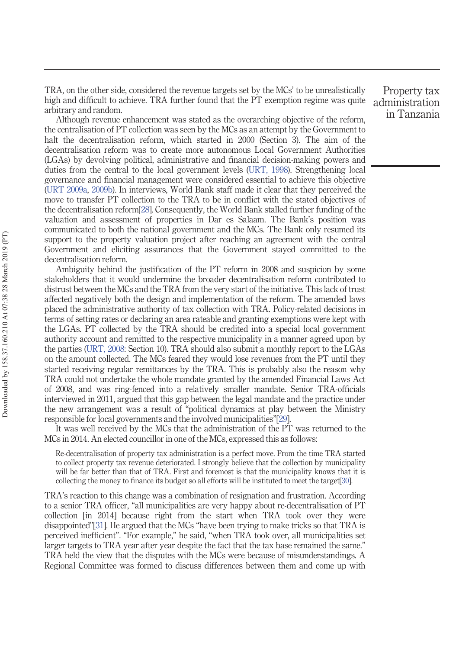TRA, on the other side, considered the revenue targets set by the MCs' to be unrealistically high and difficult to achieve. TRA further found that the PT exemption regime was quite arbitrary and random.

Although revenue enhancement was stated as the overarching objective of the reform, the centralisation of PT collection was seen by the MCs as an attempt by the Government to halt the decentralisation reform, which started in 2000 (Section 3). The aim of the decentralisation reform was to create more autonomous Local Government Authorities (LGAs) by devolving political, administrative and financial decision-making powers and duties from the central to the local government levels (URT, 1998). Strengthening local governance and financial management were considered essential to achieve this objective (URT 2009a, 2009b). In interviews, World Bank staff made it clear that they perceived the move to transfer PT collection to the TRA to be in conflict with the stated objectives of the decentralisation reform[28]. Consequently, the World Bank stalled further funding of the valuation and assessment of properties in Dar es Salaam. The Bank's position was communicated to both the national government and the MCs. The Bank only resumed its support to the property valuation project after reaching an agreement with the central Government and eliciting assurances that the Government stayed committed to the decentralisation reform.

Ambiguity behind the justification of the PT reform in 2008 and suspicion by some stakeholders that it would undermine the broader decentralisation reform contributed to distrust between the MCs and the TRA from the very start of the initiative. This lack of trust affected negatively both the design and implementation of the reform. The amended laws placed the administrative authority of tax collection with TRA. Policy-related decisions in terms of setting rates or declaring an area rateable and granting exemptions were kept with the LGAs. PT collected by the TRA should be credited into a special local government authority account and remitted to the respective municipality in a manner agreed upon by the parties (URT, 2008: Section 10). TRA should also submit a monthly report to the LGAs on the amount collected. The MCs feared they would lose revenues from the PT until they started receiving regular remittances by the TRA. This is probably also the reason why TRA could not undertake the whole mandate granted by the amended Financial Laws Act of 2008, and was ring-fenced into a relatively smaller mandate. Senior TRA-officials interviewed in 2011, argued that this gap between the legal mandate and the practice under the new arrangement was a result of "political dynamics at play between the Ministry responsible for local governments and the involved municipalities"[29].

It was well received by the MCs that the administration of the PT was returned to the MCs in 2014. An elected councillor in one of the MCs, expressed this as follows:

Re-decentralisation of property tax administration is a perfect move. From the time TRA started to collect property tax revenue deteriorated. I strongly believe that the collection by municipality will be far better than that of TRA. First and foremost is that the municipality knows that it is collecting the money to finance its budget so all efforts will be instituted to meet the target[30].

TRA's reaction to this change was a combination of resignation and frustration. According to a senior TRA officer, "all municipalities are very happy about re-decentralisation of PT collection [in 2014] because right from the start when TRA took over they were disappointed"[31]. He argued that the MCs "have been trying to make tricks so that TRA is perceived inefficient". "For example," he said, "when TRA took over, all municipalities set larger targets to TRA year after year despite the fact that the tax base remained the same." TRA held the view that the disputes with the MCs were because of misunderstandings. A Regional Committee was formed to discuss differences between them and come up with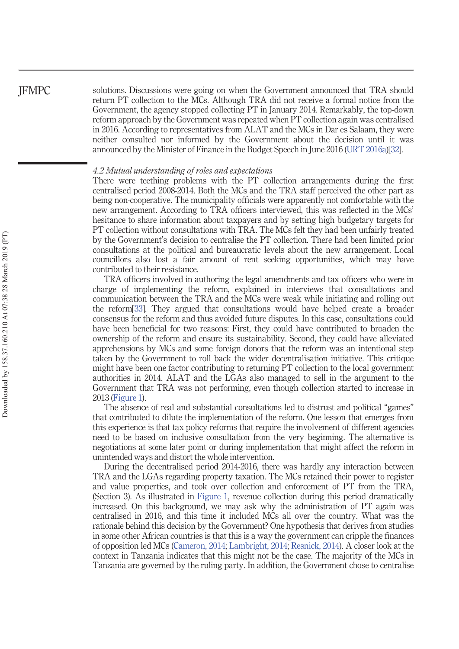solutions. Discussions were going on when the Government announced that TRA should return PT collection to the MCs. Although TRA did not receive a formal notice from the Government, the agency stopped collecting PT in January 2014. Remarkably, the top-down reform approach by the Government was repeated when PT collection again was centralised in 2016. According to representatives from ALAT and the MCs in Dar es Salaam, they were neither consulted nor informed by the Government about the decision until it was announced by the Minister of Finance in the Budget Speech in June 2016 (URT 2016a)[32].

#### 4.2 Mutual understanding of roles and expectations

There were teething problems with the PT collection arrangements during the first centralised period 2008-2014. Both the MCs and the TRA staff perceived the other part as being non-cooperative. The municipality officials were apparently not comfortable with the new arrangement. According to TRA officers interviewed, this was reflected in the MCs' hesitance to share information about taxpayers and by setting high budgetary targets for PT collection without consultations with TRA. The MCs felt they had been unfairly treated by the Government's decision to centralise the PT collection. There had been limited prior consultations at the political and bureaucratic levels about the new arrangement. Local councillors also lost a fair amount of rent seeking opportunities, which may have contributed to their resistance.

TRA officers involved in authoring the legal amendments and tax officers who were in charge of implementing the reform, explained in interviews that consultations and communication between the TRA and the MCs were weak while initiating and rolling out the reform[33]. They argued that consultations would have helped create a broader consensus for the reform and thus avoided future disputes. In this case, consultations could have been beneficial for two reasons: First, they could have contributed to broaden the ownership of the reform and ensure its sustainability. Second, they could have alleviated apprehensions by MCs and some foreign donors that the reform was an intentional step taken by the Government to roll back the wider decentralisation initiative. This critique might have been one factor contributing to returning PT collection to the local government authorities in 2014. ALAT and the LGAs also managed to sell in the argument to the Government that TRA was not performing, even though collection started to increase in 2013 (Figure 1).

The absence of real and substantial consultations led to distrust and political "games" that contributed to dilute the implementation of the reform. One lesson that emerges from this experience is that tax policy reforms that require the involvement of different agencies need to be based on inclusive consultation from the very beginning. The alternative is negotiations at some later point or during implementation that might affect the reform in unintended ways and distort the whole intervention.

During the decentralised period 2014-2016, there was hardly any interaction between TRA and the LGAs regarding property taxation. The MCs retained their power to register and value properties, and took over collection and enforcement of PT from the TRA, (Section 3). As illustrated in Figure 1, revenue collection during this period dramatically increased. On this background, we may ask why the administration of PT again was centralised in 2016, and this time it included MCs all over the country. What was the rationale behind this decision by the Government? One hypothesis that derives from studies in some other African countries is that this is a way the government can cripple the finances of opposition led MCs (Cameron, 2014; Lambright, 2014; Resnick, 2014). A closer look at the context in Tanzania indicates that this might not be the case. The majority of the MCs in Tanzania are governed by the ruling party. In addition, the Government chose to centralise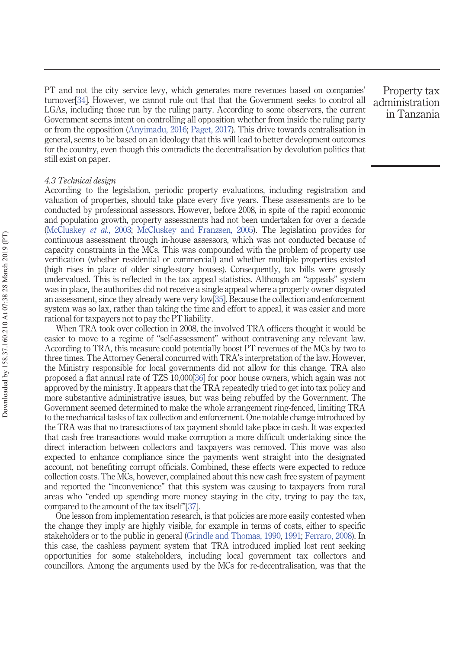PT and not the city service levy, which generates more revenues based on companies' turnover[34]. However, we cannot rule out that that the Government seeks to control all LGAs, including those run by the ruling party. According to some observers, the current Government seems intent on controlling all opposition whether from inside the ruling party or from the opposition (Anyimadu, 2016; Paget, 2017). This drive towards centralisation in general, seems to be based on an ideology that this will lead to better development outcomes for the country, even though this contradicts the decentralisation by devolution politics that still exist on paper.

Property tax administration in Tanzania

#### 4.3 Technical design

According to the legislation, periodic property evaluations, including registration and valuation of properties, should take place every five years. These assessments are to be conducted by professional assessors. However, before 2008, in spite of the rapid economic and population growth, property assessments had not been undertaken for over a decade (McCluskey et al., 2003; McCluskey and Franzsen, 2005). The legislation provides for continuous assessment through in-house assessors, which was not conducted because of capacity constraints in the MCs. This was compounded with the problem of property use verification (whether residential or commercial) and whether multiple properties existed (high rises in place of older single-story houses). Consequently, tax bills were grossly undervalued. This is reflected in the tax appeal statistics. Although an "appeals" system was in place, the authorities did not receive a single appeal where a property owner disputed an assessment, since they already were very low[35]. Because the collection and enforcement system was so lax, rather than taking the time and effort to appeal, it was easier and more rational for taxpayers not to pay the PT liability.

When TRA took over collection in 2008, the involved TRA officers thought it would be easier to move to a regime of "self-assessment" without contravening any relevant law. According to TRA, this measure could potentially boost PT revenues of the MCs by two to three times. The Attorney General concurred with TRA's interpretation of the law. However, the Ministry responsible for local governments did not allow for this change. TRA also proposed a flat annual rate of TZS 10,000[36] for poor house owners, which again was not approved by the ministry. It appears that the TRA repeatedly tried to get into tax policy and more substantive administrative issues, but was being rebuffed by the Government. The Government seemed determined to make the whole arrangement ring-fenced, limiting TRA to the mechanical tasks of tax collection and enforcement. One notable change introduced by the TRA was that no transactions of tax payment should take place in cash. It was expected that cash free transactions would make corruption a more difficult undertaking since the direct interaction between collectors and taxpayers was removed. This move was also expected to enhance compliance since the payments went straight into the designated account, not benefiting corrupt officials. Combined, these effects were expected to reduce collection costs. The MCs, however, complained about this new cash free system of payment and reported the "inconvenience" that this system was causing to taxpayers from rural areas who "ended up spending more money staying in the city, trying to pay the tax, compared to the amount of the tax itself"[37].

One lesson from implementation research, is that policies are more easily contested when the change they imply are highly visible, for example in terms of costs, either to specific stakeholders or to the public in general (Grindle and Thomas, 1990, 1991; Ferraro, 2008). In this case, the cashless payment system that TRA introduced implied lost rent seeking opportunities for some stakeholders, including local government tax collectors and councillors. Among the arguments used by the MCs for re-decentralisation, was that the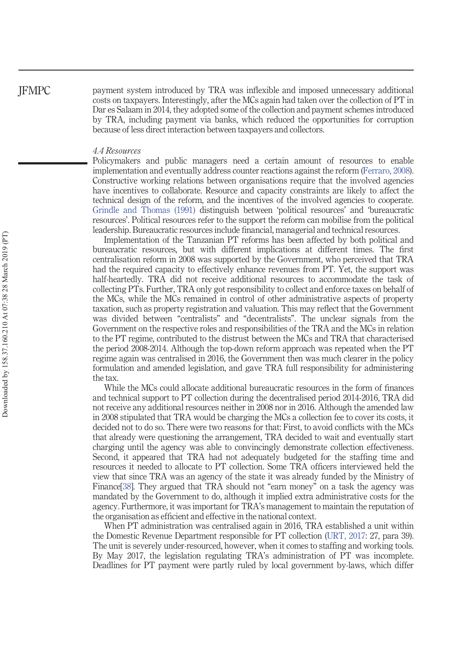payment system introduced by TRA was inflexible and imposed unnecessary additional costs on taxpayers. Interestingly, after the MCs again had taken over the collection of PT in Dar es Salaam in 2014, they adopted some of the collection and payment schemes introduced by TRA, including payment via banks, which reduced the opportunities for corruption because of less direct interaction between taxpayers and collectors.

#### 4.4 Resources

Policymakers and public managers need a certain amount of resources to enable implementation and eventually address counter reactions against the reform (Ferraro, 2008). Constructive working relations between organisations require that the involved agencies have incentives to collaborate. Resource and capacity constraints are likely to affect the technical design of the reform, and the incentives of the involved agencies to cooperate. Grindle and Thomas (1991) distinguish between 'political resources' and 'bureaucratic resources'. Political resources refer to the support the reform can mobilise from the political leadership. Bureaucratic resources include financial, managerial and technical resources.

Implementation of the Tanzanian PT reforms has been affected by both political and bureaucratic resources, but with different implications at different times. The first centralisation reform in 2008 was supported by the Government, who perceived that TRA had the required capacity to effectively enhance revenues from PT. Yet, the support was half-heartedly. TRA did not receive additional resources to accommodate the task of collecting PTs. Further, TRA only got responsibility to collect and enforce taxes on behalf of the MCs, while the MCs remained in control of other administrative aspects of property taxation, such as property registration and valuation. This may reflect that the Government was divided between "centralists" and "decentralists". The unclear signals from the Government on the respective roles and responsibilities of the TRA and the MCs in relation to the PT regime, contributed to the distrust between the MCs and TRA that characterised the period 2008-2014. Although the top-down reform approach was repeated when the PT regime again was centralised in 2016, the Government then was much clearer in the policy formulation and amended legislation, and gave TRA full responsibility for administering the tax.

While the MCs could allocate additional bureaucratic resources in the form of finances and technical support to PT collection during the decentralised period 2014-2016, TRA did not receive any additional resources neither in 2008 nor in 2016. Although the amended law in 2008 stipulated that TRA would be charging the MCs a collection fee to cover its costs, it decided not to do so. There were two reasons for that: First, to avoid conflicts with the MCs that already were questioning the arrangement, TRA decided to wait and eventually start charging until the agency was able to convincingly demonstrate collection effectiveness. Second, it appeared that TRA had not adequately budgeted for the staffing time and resources it needed to allocate to PT collection. Some TRA officers interviewed held the view that since TRA was an agency of the state it was already funded by the Ministry of Finance[38]. They argued that TRA should not "earn money" on a task the agency was mandated by the Government to do, although it implied extra administrative costs for the agency. Furthermore, it was important for TRA's management to maintain the reputation of the organisation as efficient and effective in the national context.

When PT administration was centralised again in 2016, TRA established a unit within the Domestic Revenue Department responsible for PT collection (URT, 2017: 27, para 39). The unit is severely under-resourced, however, when it comes to staffing and working tools. By May 2017, the legislation regulating TRA's administration of PT was incomplete. Deadlines for PT payment were partly ruled by local government by-laws, which differ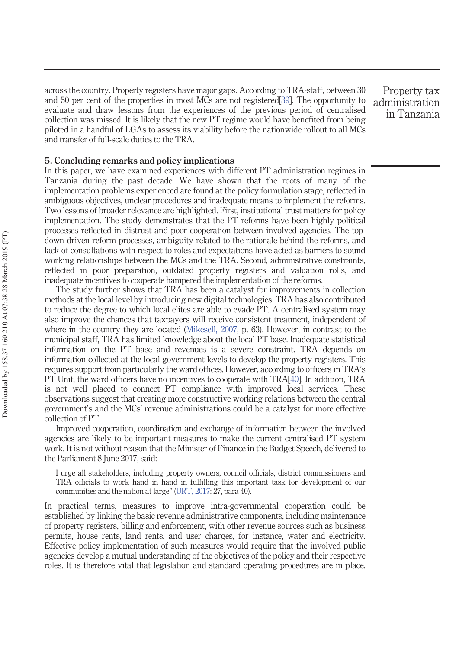across the country. Property registers have major gaps. According to TRA-staff, between 30 and 50 per cent of the properties in most MCs are not registered[39]. The opportunity to evaluate and draw lessons from the experiences of the previous period of centralised collection was missed. It is likely that the new PT regime would have benefited from being piloted in a handful of LGAs to assess its viability before the nationwide rollout to all MCs and transfer of full-scale duties to the TRA.

Property tax administration in Tanzania

#### 5. Concluding remarks and policy implications

In this paper, we have examined experiences with different PT administration regimes in Tanzania during the past decade. We have shown that the roots of many of the implementation problems experienced are found at the policy formulation stage, reflected in ambiguous objectives, unclear procedures and inadequate means to implement the reforms. Two lessons of broader relevance are highlighted. First, institutional trust matters for policy implementation. The study demonstrates that the PT reforms have been highly political processes reflected in distrust and poor cooperation between involved agencies. The topdown driven reform processes, ambiguity related to the rationale behind the reforms, and lack of consultations with respect to roles and expectations have acted as barriers to sound working relationships between the MCs and the TRA. Second, administrative constraints, reflected in poor preparation, outdated property registers and valuation rolls, and inadequate incentives to cooperate hampered the implementation of the reforms.

The study further shows that TRA has been a catalyst for improvements in collection methods at the local level by introducing new digital technologies. TRA has also contributed to reduce the degree to which local elites are able to evade PT. A centralised system may also improve the chances that taxpayers will receive consistent treatment, independent of where in the country they are located (Mikesell, 2007, p. 63). However, in contrast to the municipal staff, TRA has limited knowledge about the local PT base. Inadequate statistical information on the PT base and revenues is a severe constraint. TRA depends on information collected at the local government levels to develop the property registers. This requires support from particularly the ward offices. However, according to officers in TRA's PT Unit, the ward officers have no incentives to cooperate with TRA[40]. In addition, TRA is not well placed to connect PT compliance with improved local services. These observations suggest that creating more constructive working relations between the central government's and the MCs' revenue administrations could be a catalyst for more effective collection of PT.

Improved cooperation, coordination and exchange of information between the involved agencies are likely to be important measures to make the current centralised PT system work. It is not without reason that the Minister of Finance in the Budget Speech, delivered to the Parliament 8 June 2017, said:

I urge all stakeholders, including property owners, council officials, district commissioners and TRA officials to work hand in hand in fulfilling this important task for development of our communities and the nation at large" (URT, 2017: 27, para 40).

In practical terms, measures to improve intra-governmental cooperation could be established by linking the basic revenue administrative components, including maintenance of property registers, billing and enforcement, with other revenue sources such as business permits, house rents, land rents, and user charges, for instance, water and electricity. Effective policy implementation of such measures would require that the involved public agencies develop a mutual understanding of the objectives of the policy and their respective roles. It is therefore vital that legislation and standard operating procedures are in place.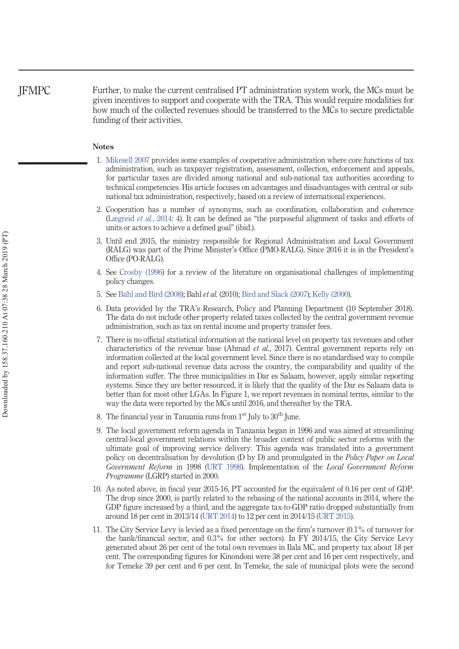Further, to make the current centralised PT administration system work, the MCs must be given incentives to support and cooperate with the TRA. This would require modalities for how much of the collected revenues should be transferred to the MCs to secure predictable funding of their activities.

#### Notes

- 1. Mikesell 2007 provides some examples of cooperative administration where core functions of tax administration, such as taxpayer registration, assessment, collection, enforcement and appeals, for particular taxes are divided among national and sub-national tax authorities according to technical competencies. His article focuses on advantages and disadvantages with central or subnational tax administration, respectively, based on a review of international experiences.
- 2. Cooperation has a number of synonyms, such as coordination, collaboration and coherence (Lægreid et al., 2014: 4). It can be defined as "the purposeful alignment of tasks and efforts of units or actors to achieve a defined goal" (ibid.).
- 3. Until end 2015, the ministry responsible for Regional Administration and Local Government (RALG) was part of the Prime Minister's Office (PMO-RALG). Since 2016 it is in the President's Office (PO-RALG).
- 4. See Crosby (1996) for a review of the literature on organisational challenges of implementing policy changes.
- 5. See Bahl and Bird (2008); Bahl et al. (2010); Bird and Slack (2007); Kelly (2000).
- 6. Data provided by the TRA's Research, Policy and Planning Department (10 September 2018). The data do not include other property related taxes collected by the central government revenue administration, such as tax on rental income and property transfer fees.
- 7. There is no official statistical information at the national level on property tax revenues and other characteristics of the revenue base (Ahmad et al., 2017). Central government reports rely on information collected at the local government level. Since there is no standardised way to compile and report sub-national revenue data across the country, the comparability and quality of the information suffer. The three municipalities in Dar es Salaam, however, apply similar reporting systems. Since they are better resourced, it is likely that the quality of the Dar es Salaam data is better than for most other LGAs. In Figure 1, we report revenues in nominal terms, similar to the way the data were reported by the MCs until 2016, and thereafter by the TRA.
- 8. The financial year in Tanzania runs from  $1<sup>st</sup>$  July to  $30<sup>th</sup>$  June.
- 9. The local government reform agenda in Tanzania began in 1996 and was aimed at streamlining central-local government relations within the broader context of public sector reforms with the ultimate goal of improving service delivery. This agenda was translated into a government policy on decentralisation by devolution (D by D) and promulgated in the *Policy Paper on Local* Government Reform in 1998 (URT 1998). Implementation of the Local Government Reform Programme (LGRP) started in 2000.
- 10. As noted above, in fiscal year 2015-16, PT accounted for the equivalent of 0.16 per cent of GDP. The drop since 2000, is partly related to the rebasing of the national accounts in 2014, where the GDP figure increased by a third, and the aggregate tax-to-GDP ratio dropped substantially from around 18 per cent in 2013/14 (URT 2014) to 12 per cent in 2014/15 (URT 2015).
- 11. The City Service Levy is levied as a fixed percentage on the firm's turnover (0.1% of turnover for the bank/financial sector, and 0.3% for other sectors). In FY 2014/15, the City Service Levy generated about 26 per cent of the total own revenues in Ilala MC, and property tax about 18 per cent. The corresponding figures for Kinondoni were 38 per cent and 16 per cent respectively, and for Temeke 39 per cent and 6 per cent. In Temeke, the sale of municipal plots were the second

JFMPC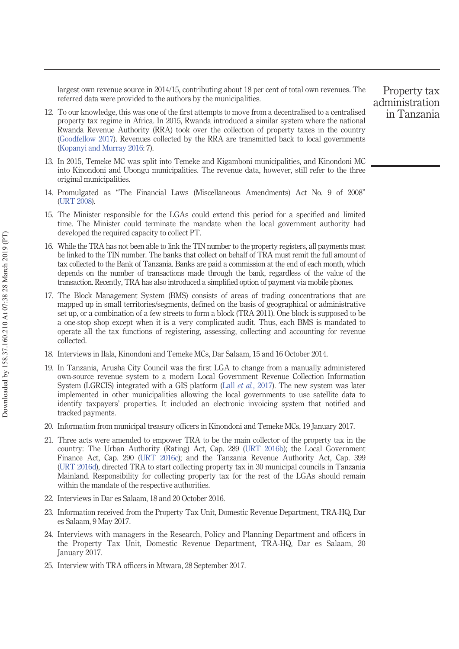largest own revenue source in 2014/15, contributing about 18 per cent of total own revenues. The referred data were provided to the authors by the municipalities.

- 12. To our knowledge, this was one of the first attempts to move from a decentralised to a centralised property tax regime in Africa. In 2015, Rwanda introduced a similar system where the national Rwanda Revenue Authority (RRA) took over the collection of property taxes in the country (Goodfellow 2017). Revenues collected by the RRA are transmitted back to local governments (Kopanyi and Murray 2016: 7).
- 13. In 2015, Temeke MC was split into Temeke and Kigamboni municipalities, and Kinondoni MC into Kinondoni and Ubongu municipalities. The revenue data, however, still refer to the three original municipalities.
- 14. Promulgated as "The Financial Laws (Miscellaneous Amendments) Act No. 9 of 2008" (URT 2008).
- 15. The Minister responsible for the LGAs could extend this period for a specified and limited time. The Minister could terminate the mandate when the local government authority had developed the required capacity to collect PT.
- 16. While the TRA has not been able to link the TIN number to the property registers, all payments must be linked to the TIN number. The banks that collect on behalf of TRA must remit the full amount of tax collected to the Bank of Tanzania. Banks are paid a commission at the end of each month, which depends on the number of transactions made through the bank, regardless of the value of the transaction. Recently, TRA has also introduced a simplified option of payment via mobile phones.
- 17. The Block Management System (BMS) consists of areas of trading concentrations that are mapped up in small territories/segments, defined on the basis of geographical or administrative set up, or a combination of a few streets to form a block (TRA 2011). One block is supposed to be a one-stop shop except when it is a very complicated audit. Thus, each BMS is mandated to operate all the tax functions of registering, assessing, collecting and accounting for revenue collected.
- 18. Interviews in Ilala, Kinondoni and Temeke MCs, Dar Salaam, 15 and 16 October 2014.
- 19. In Tanzania, Arusha City Council was the first LGA to change from a manually administered own-source revenue system to a modern Local Government Revenue Collection Information System (LGRCIS) integrated with a GIS platform (Lall *et al.*, 2017). The new system was later implemented in other municipalities allowing the local governments to use satellite data to identify taxpayers' properties. It included an electronic invoicing system that notified and tracked payments.
- 20. Information from municipal treasury officers in Kinondoni and Temeke MCs, 19 January 2017.
- 21. Three acts were amended to empower TRA to be the main collector of the property tax in the country: The Urban Authority (Rating) Act, Cap. 289 (URT 2016b); the Local Government Finance Act, Cap. 290 (URT 2016c); and the Tanzania Revenue Authority Act, Cap. 399 (URT 2016d), directed TRA to start collecting property tax in 30 municipal councils in Tanzania Mainland. Responsibility for collecting property tax for the rest of the LGAs should remain within the mandate of the respective authorities.
- 22. Interviews in Dar es Salaam, 18 and 20 October 2016.
- 23. Information received from the Property Tax Unit, Domestic Revenue Department, TRA-HQ, Dar es Salaam, 9 May 2017.
- 24. Interviews with managers in the Research, Policy and Planning Department and officers in the Property Tax Unit, Domestic Revenue Department, TRA-HQ, Dar es Salaam, 20 January 2017.
- 25. Interview with TRA officers in Mtwara, 28 September 2017.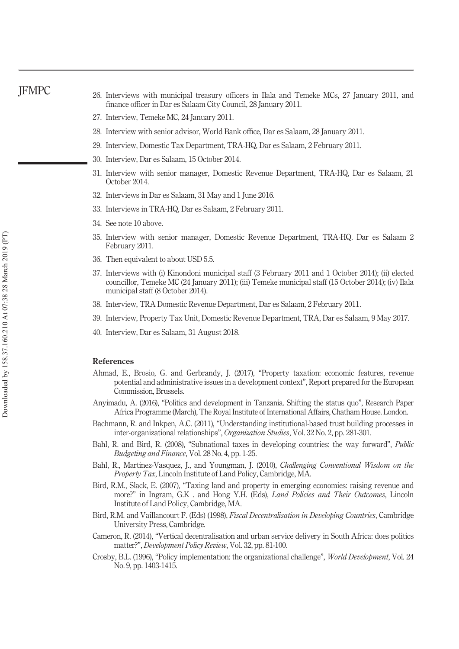- 26. Interviews with municipal treasury officers in Ilala and Temeke MCs, 27 January 2011, and finance officer in Dar es Salaam City Council, 28 January 2011.
- 27. Interview, Temeke MC, 24 January 2011.
- 28. Interview with senior advisor, World Bank office, Dar es Salaam, 28 January 2011.
- 29. Interview, Domestic Tax Department, TRA-HQ, Dar es Salaam, 2 February 2011.
- 30. Interview, Dar es Salaam, 15 October 2014.
- 31. Interview with senior manager, Domestic Revenue Department, TRA-HQ, Dar es Salaam, 21 October 2014.
- 32. Interviews in Dar es Salaam, 31 May and 1 June 2016.
- 33. Interviews in TRA-HQ, Dar es Salaam, 2 February 2011.
- 34. See note 10 above.
- 35. Interview with senior manager, Domestic Revenue Department, TRA-HQ. Dar es Salaam 2 February 2011.
- 36. Then equivalent to about USD 5.5.
- 37. Interviews with (i) Kinondoni municipal staff (3 February 2011 and 1 October 2014); (ii) elected councillor, Temeke MC (24 January 2011); (iii) Temeke municipal staff (15 October 2014); (iv) Ilala municipal staff (8 October 2014).
- 38. Interview, TRA Domestic Revenue Department, Dar es Salaam, 2 February 2011.
- 39. Interview, Property Tax Unit, Domestic Revenue Department, TRA, Dar es Salaam, 9 May 2017.
- 40. Interview, Dar es Salaam, 31 August 2018.

#### References

- Ahmad, E., Brosio, G. and Gerbrandy, J. (2017), "Property taxation: economic features, revenue potential and administrative issues in a development context", Report prepared for the European Commission, Brussels.
- Anyimadu, A. (2016), "Politics and development in Tanzania. Shifting the status quo", Research Paper Africa Programme (March), The Royal Institute of International Affairs, Chatham House. London.
- Bachmann, R. and Inkpen, A.C. (2011), "Understanding institutional-based trust building processes in inter-organizational relationships", Organization Studies, Vol. 32 No. 2, pp. 281-301.
- Bahl, R. and Bird, R. (2008), "Subnational taxes in developing countries: the way forward", Public Budgeting and Finance, Vol. 28 No. 4, pp. 1-25.
- Bahl, R., Martinez-Vasquez, J., and Youngman, J. (2010), Challenging Conventional Wisdom on the Property Tax, Lincoln Institute of Land Policy, Cambridge, MA.
- Bird, R.M., Slack, E. (2007), "Taxing land and property in emerging economies: raising revenue and more?" in Ingram, G.K. and Hong Y.H. (Eds), *Land Policies and Their Outcomes*, Lincoln Institute of Land Policy, Cambridge, MA.
- Bird, R.M. and Vaillancourt F. (Eds) (1998), Fiscal Decentralisation in Developing Countries, Cambridge University Press, Cambridge.
- Cameron, R. (2014), "Vertical decentralisation and urban service delivery in South Africa: does politics matter?", Development Policy Review, Vol. 32, pp. 81-100.
- Crosby, B.L. (1996), "Policy implementation: the organizational challenge", World Development, Vol. 24 No. 9, pp. 1403-1415.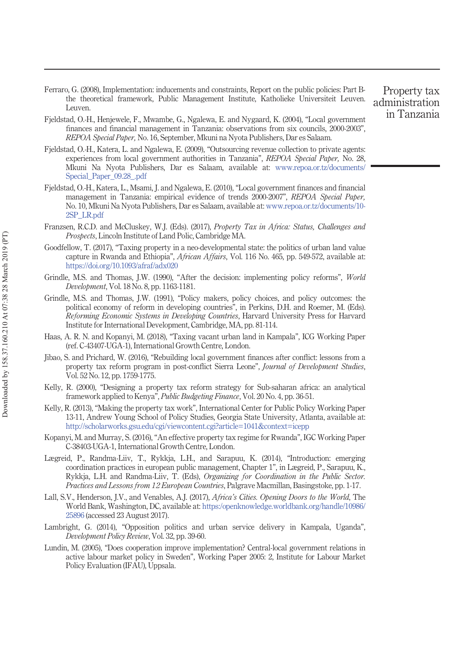- Ferraro, G. (2008), Implementation: inducements and constraints, Report on the public policies: Part Bthe theoretical framework, Public Management Institute, Katholieke Universiteit Leuven. Leuven.
- Fjeldstad, O.-H., Henjewele, F., Mwambe, G., Ngalewa, E. and Nygaard, K. (2004), "Local government finances and financial management in Tanzania: observations from six councils, 2000-2003", REPOA Special Paper, No. 16, September, Mkuni na Nyota Publishers, Dar es Salaam.
- Fjeldstad, O.-H., Katera, L. and Ngalewa, E. (2009), "Outsourcing revenue collection to private agents: experiences from local government authorities in Tanzania", REPOA Special Paper, No. 28 Mkuni Na Nyota Publishers, Dar es Salaam, available at: www.repoa.or.tz/documents/ Special\_Paper\_09.28\_.pdf
- Fjeldstad, O.-H., Katera, L., Msami, J. and Ngalewa, E. (2010), "Local government finances and financial management in Tanzania: empirical evidence of trends 2000-2007", REPOA Special Paper, No. 10, Mkuni Na Nyota Publishers, Dar es Salaam, available at: www.repoa.or.tz/documents/10- 2SP\_LR.pdf
- Franzsen, R.C.D. and McCluskey, W.J. (Eds). (2017), Property Tax in Africa: Status, Challenges and Prospects, Lincoln Institute of Land Polic, Cambridge MA.
- Goodfellow, T. (2017), "Taxing property in a neo-developmental state: the politics of urban land value capture in Rwanda and Ethiopia", African Affairs, Vol. 116 No. 465, pp. 549-572, available at: https://doi.org/10.1093/afraf/adx020
- Grindle, M.S. and Thomas, J.W. (1990), "After the decision: implementing policy reforms", World Development, Vol. 18 No. 8, pp. 1163-1181.
- Grindle, M.S. and Thomas, J.W. (1991), "Policy makers, policy choices, and policy outcomes: the political economy of reform in developing countries", in Perkins, D.H. and Roemer, M. (Eds). Reforming Economic Systems in Developing Countries, Harvard University Press for Harvard Institute for International Development, Cambridge, MA, pp. 81-114.
- Haas, A. R. N. and Kopanyi, M. (2018), "Taxing vacant urban land in Kampala", ICG Working Paper (ref. C-43407-UGA-1), International Growth Centre, London.
- Jibao, S. and Prichard, W. (2016), "Rebuilding local government finances after conflict: lessons from a property tax reform program in post-conflict Sierra Leone", Journal of Development Studies, Vol. 52 No. 12, pp. 1759-1775.
- Kelly, R. (2000), "Designing a property tax reform strategy for Sub-saharan africa: an analytical framework applied to Kenya", Public Budgeting Finance, Vol. 20 No. 4, pp. 36-51.
- Kelly, R. (2013), "Making the property tax work", International Center for Public Policy Working Paper 13-11, Andrew Young School of Policy Studies, Georgia State University, Atlanta, available at: http://scholarworks.gsu.edu/cgi/viewcontent.cgi?article=1041&context=icepp
- Kopanyi, M. and Murray, S. (2016), "An effective property tax regime for Rwanda", IGC Working Paper C-38403-UGA-1, International Growth Centre, London.
- Lægreid, P., Randma-Liiv, T., Rykkja, L.H., and Sarapuu, K. (2014), "Introduction: emerging coordination practices in european public management, Chapter 1", in Lægreid, P., Sarapuu, K., Rykkja, L.H. and Randma-Liiv, T. (Eds), Organizing for Coordination in the Public Sector. Practices and Lessons from 12 European Countries, Palgrave Macmillan, Basingstoke, pp. 1-17.
- Lall, S.V., Henderson, J.V., and Venables, A.J. (2017), Africa's Cities. Opening Doors to the World, The World Bank, Washington, DC, available at: https:/openknowledge.worldbank.org/handle/10986/ 25896 (accessed 23 August 2017).
- Lambright, G. (2014), "Opposition politics and urban service delivery in Kampala, Uganda", Development Policy Review, Vol. 32, pp. 39-60.
- Lundin, M. (2005), "Does cooperation improve implementation? Central-local government relations in active labour market policy in Sweden", Working Paper 2005: 2, Institute for Labour Market Policy Evaluation (IFAU), Uppsala.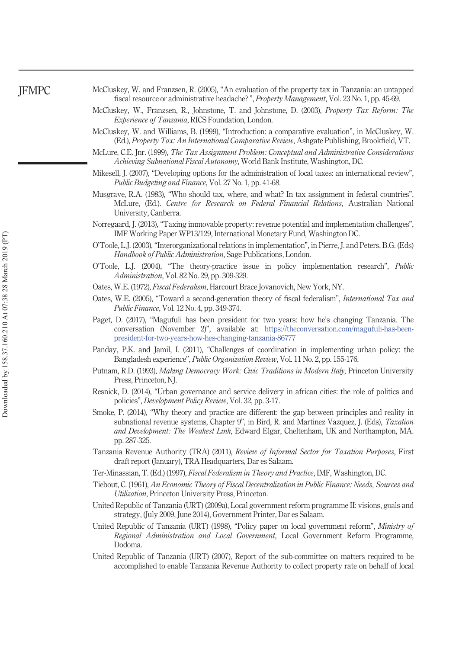| McCluskey, W. and Franzsen, R. (2005), "An evaluation of the property tax in Tanzania: an untapped |  |  |  |
|----------------------------------------------------------------------------------------------------|--|--|--|
| fiscal resource or administrative headache?", Property Management, Vol. 23 No. 1, pp. 45-69.       |  |  |  |

- McCluskey, W., Franzsen, R., Johnstone, T. and Johnstone, D. (2003), Property Tax Reform: The Experience of Tanzania, RICS Foundation, London.
- McCluskey, W. and Williams, B. (1999), "Introduction: a comparative evaluation", in McCluskey, W. (Ed.), Property Tax: An International Comparative Review, Ashgate Publishing, Brookfield, VT.
- McLure, C.E. Jnr. (1999), The Tax Assignment Problem: Conceptual and Administrative Considerations Achieving Subnational Fiscal Autonomy, World Bank Institute, Washington, DC.
- Mikesell, J. (2007), "Developing options for the administration of local taxes: an international review", Public Budgeting and Finance, Vol. 27 No. 1, pp. 41-68.
- Musgrave, R.A. (1983), "Who should tax, where, and what? In tax assignment in federal countries", McLure, (Ed.). Centre for Research on Federal Financial Relations, Australian National University, Canberra.
- Norregaard, J. (2013), "Taxing immovable property: revenue potential and implementation challenges", IMF Working Paper WP13/129, International Monetary Fund, Washington DC.
- O'Toole, L.J. (2003), "Interorganizational relations in implementation", in Pierre, J. and Peters, B.G. (Eds) Handbook of Public Administration, Sage Publications, London.
- O'Toole, L.J. (2004), "The theory-practice issue in policy implementation research", Public Administration, Vol. 82 No. 29, pp. 309-329.
- Oates, W.E. (1972), Fiscal Federalism, Harcourt Brace Jovanovich, New York, NY.
- Oates, W.E. (2005), "Toward a second-generation theory of fiscal federalism", International Tax and Public Finance, Vol. 12 No. 4, pp. 349-374.
- Paget, D. (2017), "Magufuli has been president for two years: how he's changing Tanzania. The conversation (November 2)", available at: https://theconversation.com/magufuli-has-beenpresident-for-two-years-how-hes-changing-tanzania-86777
- Panday, P.K. and Jamil, I. (2011), "Challenges of coordination in implementing urban policy: the Bangladesh experience", Public Organization Review, Vol. 11 No. 2, pp. 155-176.
- Putnam, R.D. (1993), Making Democracy Work: Civic Traditions in Modern Italy, Princeton University Press, Princeton, NJ.
- Resnick, D. (2014), "Urban governance and service delivery in african cities: the role of politics and policies", Development Policy Review, Vol. 32, pp. 3-17.
- Smoke, P. (2014), "Why theory and practice are different: the gap between principles and reality in subnational revenue systems, Chapter 9", in Bird, R. and Martinez Vazquez, J. (Eds), Taxation and Development: The Weakest Link, Edward Elgar, Cheltenham, UK and Northampton, MA. pp. 287-325.
- Tanzania Revenue Authority (TRA) (2011), Review of Informal Sector for Taxation Purposes, First draft report (January), TRA Headquarters, Dar es Salaam.
- Ter-Minassian, T. (Ed.) (1997), Fiscal Federalism in Theory and Practice, IMF, Washington, DC.
- Tiebout, C. (1961), An Economic Theory of Fiscal Decentralization in Public Finance: Needs, Sources and Utilization, Princeton University Press, Princeton.
- United Republic of Tanzania (URT) (2009a), Local government reform programme II: visions, goals and strategy, (July 2009, June 2014), Government Printer, Dar es Salaam.
- United Republic of Tanzania (URT) (1998), "Policy paper on local government reform", Ministry of Regional Administration and Local Government, Local Government Reform Programme, Dodoma.
- United Republic of Tanzania (URT) (2007), Report of the sub-committee on matters required to be accomplished to enable Tanzania Revenue Authority to collect property rate on behalf of local